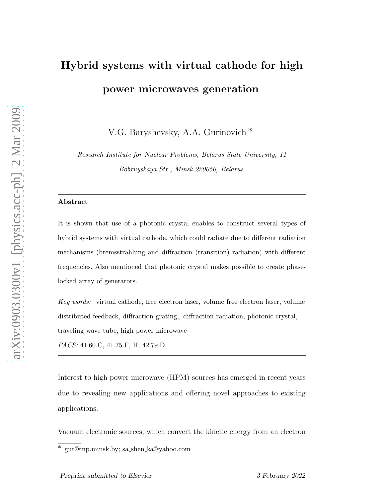## Hybrid systems with virtual cathode for high power microwaves generation

V.G. Baryshevsky, A.A. Gurinovich ∗

*Research Institute for Nuclear Problems, Belarus State University, 11 Bobruyskaya Str., Minsk 220050, Belarus*

## Abstract

It is shown that use of a photonic crystal enables to construct several types of hybrid systems with virtual cathode, which could radiate due to different radiation mechanisms (bremsstrahlung and diffraction (transition) radiation) with different frequencies. Also mentioned that photonic crystal makes possible to create phaselocked array of generators.

*Key words:* virtual cathode, free electron laser, volume free electron laser, volume distributed feedback, diffraction grating,, diffraction radiation, photonic crystal, traveling wave tube, high power microwave

*PACS:* 41.60.C, 41.75.F, H, 42.79.D

Interest to high power microwave (HPM) sources has emerged in recent years due to revealing new applications and offering novel approaches to existing applications.

Vacuum electronic sources, which convert the kinetic energy from an electron

 $\overline{\text{u}^* \text{ gur@inp.minsk.}}$  by; sa shen ka@yahoo.com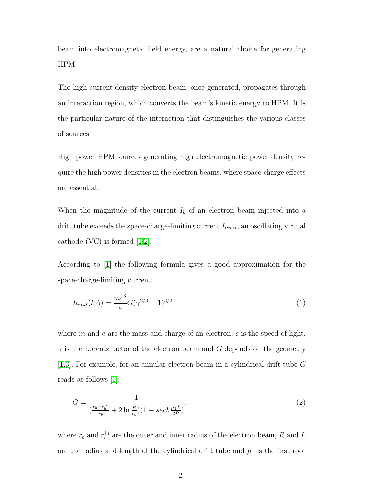beam into electromagnetic field energy, are a natural choice for generating HPM.

The high current density electron beam, once generated, propagates through an interaction region, which converts the beam's kinetic energy to HPM. It is the particular nature of the interaction that distinguishes the various classes of sources.

High power HPM sources generating high electromagnetic power density require the high power densities in the electron beams, where space-charge effects are essential.

When the magnitude of the current  $I<sub>b</sub>$  of an electron beam injected into a drift tube exceeds the space-charge-limiting current  $I_{limit}$ , an oscillating virtual cathode (VC) is formed [\[1](#page-7-0)[,2\]](#page-8-0).

According to [\[1\]](#page-7-0) the following formula gives a good approximation for the space-charge-limiting current:

$$
I_{limit}(kA) = \frac{mc^3}{e}G(\gamma^{2/3} - 1)^{3/2}
$$
\n(1)

where m and e are the mass and charge of an electron, c is the speed of light,  $\gamma$  is the Lorentz factor of the electron beam and G depends on the geometry [\[1](#page-7-0)[,3\]](#page-8-1). For example, for an annular electron beam in a cylindrical drift tube G reads as follows [\[3\]](#page-8-1):

$$
G = \frac{1}{(\frac{r_b - r_b^{in}}{r_b} + 2\ln\frac{R}{r_b})(1 - sech\frac{\mu_1 L}{2R})},\tag{2}
$$

where  $r_b$  and  $r_b^{in}$  are the outer and inner radius of the electron beam, R and L are the radius and length of the cylindrical drift tube and  $\mu_1$  is the first root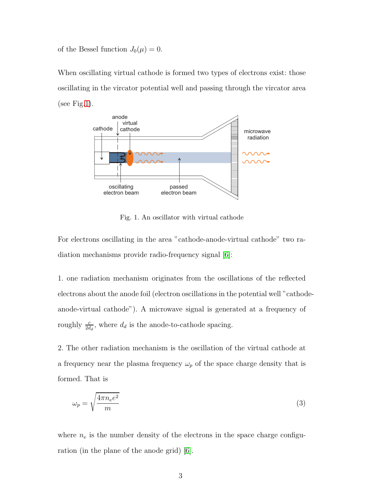of the Bessel function  $J_0(\mu) = 0$ .

When oscillating virtual cathode is formed two types of electrons exist: those oscillating in the vircator potential well and passing through the vircator area (see Fig[.1\)](#page-2-0).



<span id="page-2-0"></span>Fig. 1. An oscillator with virtual cathode

For electrons oscillating in the area "cathode-anode-virtual cathode" two radiation mechanisms provide radio-frequency signal [\[6\]](#page-8-2):

1. one radiation mechanism originates from the oscillations of the reflected electrons about the anode foil (electron oscillations in the potential well "cathodeanode-virtual cathode"). A microwave signal is generated at a frequency of roughly  $\frac{c}{2d_d}$ , where  $d_d$  is the anode-to-cathode spacing.

2. The other radiation mechanism is the oscillation of the virtual cathode at a frequency near the plasma frequency  $\omega_p$  of the space charge density that is formed. That is

$$
\omega_p = \sqrt{\frac{4\pi n_e e^2}{m}}\tag{3}
$$

where  $n_e$  is the number density of the electrons in the space charge configuration (in the plane of the anode grid) [\[6\]](#page-8-2).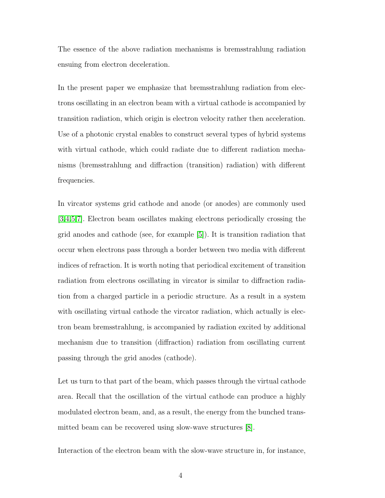The essence of the above radiation mechanisms is bremsstrahlung radiation ensuing from electron deceleration.

In the present paper we emphasize that bremsstrahlung radiation from electrons oscillating in an electron beam with a virtual cathode is accompanied by transition radiation, which origin is electron velocity rather then acceleration. Use of a photonic crystal enables to construct several types of hybrid systems with virtual cathode, which could radiate due to different radiation mechanisms (bremsstrahlung and diffraction (transition) radiation) with different frequencies.

In vircator systems grid cathode and anode (or anodes) are commonly used [\[3](#page-8-1)[,4](#page-8-3)[,5,](#page-8-4)[7\]](#page-8-5). Electron beam oscillates making electrons periodically crossing the grid anodes and cathode (see, for example [\[5\]](#page-8-4)). It is transition radiation that occur when electrons pass through a border between two media with different indices of refraction. It is worth noting that periodical excitement of transition radiation from electrons oscillating in vircator is similar to diffraction radiation from a charged particle in a periodic structure. As a result in a system with oscillating virtual cathode the vircator radiation, which actually is electron beam bremsstrahlung, is accompanied by radiation excited by additional mechanism due to transition (diffraction) radiation from oscillating current passing through the grid anodes (cathode).

Let us turn to that part of the beam, which passes through the virtual cathode area. Recall that the oscillation of the virtual cathode can produce a highly modulated electron beam, and, as a result, the energy from the bunched transmitted beam can be recovered using slow-wave structures [\[8\]](#page-8-6).

Interaction of the electron beam with the slow-wave structure in, for instance,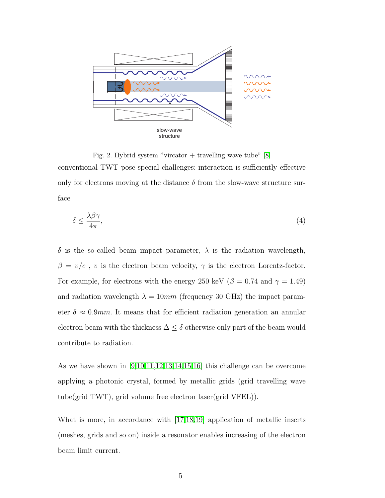

Fig. 2. Hybrid system "vircator + travelling wave tube"  $[8]$ conventional TWT pose special challenges: interaction is sufficiently effective only for electrons moving at the distance  $\delta$  from the slow-wave structure surface

$$
\delta \le \frac{\lambda \beta \gamma}{4\pi},\tag{4}
$$

δ is the so-called beam impact parameter, λ is the radiation wavelength,  $\beta = v/c$ , *v* is the electron beam velocity,  $\gamma$  is the electron Lorentz-factor. For example, for electrons with the energy 250 keV ( $\beta$  = 0.74 and  $\gamma$  = 1.49) and radiation wavelength  $\lambda = 10mm$  (frequency 30 GHz) the impact parameter  $\delta \approx 0.9$ mm. It means that for efficient radiation generation an annular electron beam with the thickness  $\Delta \leq \delta$  otherwise only part of the beam would contribute to radiation.

As we have shown in [\[9,](#page-8-7)[10](#page-8-8)[,11](#page-8-9)[,12](#page-8-10)[,13](#page-8-11)[,14](#page-8-12)[,15](#page-8-13)[,16\]](#page-8-14) this challenge can be overcome applying a photonic crystal, formed by metallic grids (grid travelling wave tube(grid TWT), grid volume free electron laser(grid VFEL)).

What is more, in accordance with [\[17](#page-9-0)[,18](#page-9-1)[,19\]](#page-9-2) application of metallic inserts (meshes, grids and so on) inside a resonator enables increasing of the electron beam limit current.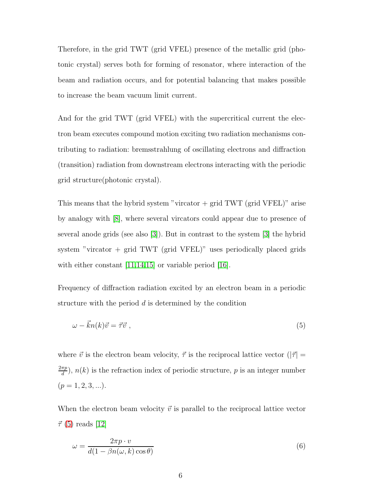Therefore, in the grid TWT (grid VFEL) presence of the metallic grid (photonic crystal) serves both for forming of resonator, where interaction of the beam and radiation occurs, and for potential balancing that makes possible to increase the beam vacuum limit current.

And for the grid TWT (grid VFEL) with the supercritical current the electron beam executes compound motion exciting two radiation mechanisms contributing to radiation: bremsstrahlung of oscillating electrons and diffraction (transition) radiation from downstream electrons interacting with the periodic grid structure(photonic crystal).

This means that the hybrid system "vircator  $+$  grid TWT (grid VFEL)" arise by analogy with [\[8\]](#page-8-6), where several vircators could appear due to presence of several anode grids (see also [\[3\]](#page-8-1)). But in contrast to the system [\[3\]](#page-8-1) the hybrid system "vircator  $+$  grid TWT (grid VFEL)" uses periodically placed grids with either constant  $[11,14,15]$  $[11,14,15]$  $[11,14,15]$  or variable period  $[16]$ .

Frequency of diffraction radiation excited by an electron beam in a periodic structure with the period d is determined by the condition

<span id="page-5-0"></span>
$$
\omega - \vec{k}n(k)\vec{v} = \vec{\tau}\vec{v} \tag{5}
$$

where  $\vec{v}$  is the electron beam velocity,  $\vec{\tau}$  is the reciprocal lattice vector ( $|\vec{\tau}|$  =  $2\pi p$  $\frac{\pi p}{d}$ ,  $n(k)$  is the refraction index of periodic structure, p is an integer number  $(p = 1, 2, 3, \ldots).$ 

When the electron beam velocity  $\vec{v}$  is parallel to the reciprocal lattice vector  $\vec{\tau}$  [\(5\)](#page-5-0) reads [\[12\]](#page-8-10)

$$
\omega = \frac{2\pi p \cdot v}{d(1 - \beta n(\omega, k) \cos \theta)}\tag{6}
$$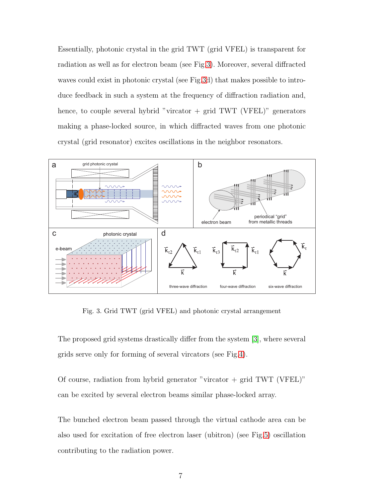Essentially, photonic crystal in the grid TWT (grid VFEL) is transparent for radiation as well as for electron beam (see Fig[.3\)](#page-6-0). Moreover, several diffracted waves could exist in photonic crystal (see Fig[.3d](#page-6-0)) that makes possible to introduce feedback in such a system at the frequency of diffraction radiation and, hence, to couple several hybrid "vircator  $+$  grid TWT (VFEL)" generators making a phase-locked source, in which diffracted waves from one photonic crystal (grid resonator) excites oscillations in the neighbor resonators.



<span id="page-6-0"></span>Fig. 3. Grid TWT (grid VFEL) and photonic crystal arrangement

The proposed grid systems drastically differ from the system [\[3\]](#page-8-1), where several grids serve only for forming of several vircators (see Fig[.4\)](#page-7-1).

Of course, radiation from hybrid generator "vircator  $+$  grid TWT (VFEL)" can be excited by several electron beams similar phase-locked array.

The bunched electron beam passed through the virtual cathode area can be also used for excitation of free electron laser (ubitron) (see Fig[.5\)](#page-7-2) oscillation contributing to the radiation power.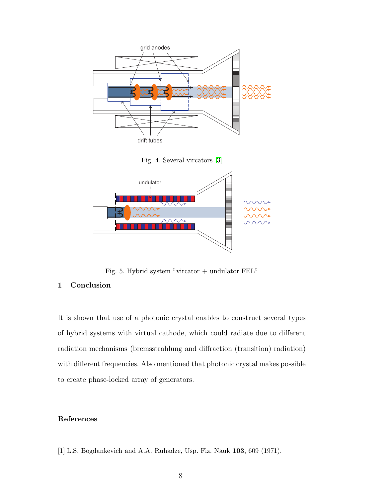

<span id="page-7-2"></span><span id="page-7-1"></span>Fig. 5. Hybrid system "vircator + undulator FEL"

## 1 Conclusion

It is shown that use of a photonic crystal enables to construct several types of hybrid systems with virtual cathode, which could radiate due to different radiation mechanisms (bremsstrahlung and diffraction (transition) radiation) with different frequencies. Also mentioned that photonic crystal makes possible to create phase-locked array of generators.

## <span id="page-7-0"></span>References

[1] L.S. Bogdankevich and A.A. Ruhadze, Usp. Fiz. Nauk 103, 609 (1971).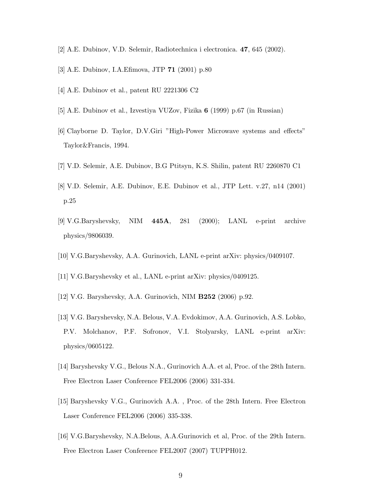- <span id="page-8-1"></span><span id="page-8-0"></span>[2] A.E. Dubinov, V.D. Selemir, Radiotechnica i electronica. 47, 645 (2002).
- <span id="page-8-3"></span>[3] A.E. Dubinov, I.A.Efimova, JTP 71 (2001) p.80
- <span id="page-8-4"></span>[4] A.E. Dubinov et al., patent RU 2221306 C2
- <span id="page-8-2"></span>[5] A.E. Dubinov et al., Izvestiya VUZov, Fizika 6 (1999) p.67 (in Russian)
- <span id="page-8-5"></span>[6] Clayborne D. Taylor, D.V.Giri "High-Power Microwave systems and effects" Taylor&Francis, 1994.
- <span id="page-8-6"></span>[7] V.D. Selemir, A.E. Dubinov, B.G Ptitsyn, K.S. Shilin, patent RU 2260870 C1
- <span id="page-8-7"></span>[8] V.D. Selemir, A.E. Dubinov, E.E. Dubinov et al., JTP Lett. v.27, n14 (2001) p.25
- <span id="page-8-8"></span>[9] V.G.Baryshevsky, NIM 445A, 281 (2000); LANL e-print archive physics/9806039.
- <span id="page-8-9"></span>[10] V.G.Baryshevsky, A.A. Gurinovich, LANL e-print arXiv: physics/0409107.
- <span id="page-8-10"></span>[11] V.G.Baryshevsky et al., LANL e-print arXiv: physics/0409125.
- <span id="page-8-11"></span>[12] V.G. Baryshevsky, A.A. Gurinovich, NIM B252 (2006) p.92.
- [13] V.G. Baryshevsky, N.A. Belous, V.A. Evdokimov, A.A. Gurinovich, A.S. Lobko, P.V. Molchanov, P.F. Sofronov, V.I. Stolyarsky, LANL e-print arXiv: physics/0605122.
- <span id="page-8-13"></span><span id="page-8-12"></span>[14] Baryshevsky V.G., Belous N.A., Gurinovich A.A. et al, Proc. of the 28th Intern. Free Electron Laser Conference FEL2006 (2006) 331-334.
- <span id="page-8-14"></span>[15] Baryshevsky V.G., Gurinovich A.A. , Proc. of the 28th Intern. Free Electron Laser Conference FEL2006 (2006) 335-338.
- [16] V.G.Baryshevsky, N.A.Belous, A.A.Gurinovich et al, Proc. of the 29th Intern. Free Electron Laser Conference FEL2007 (2007) TUPPH012.